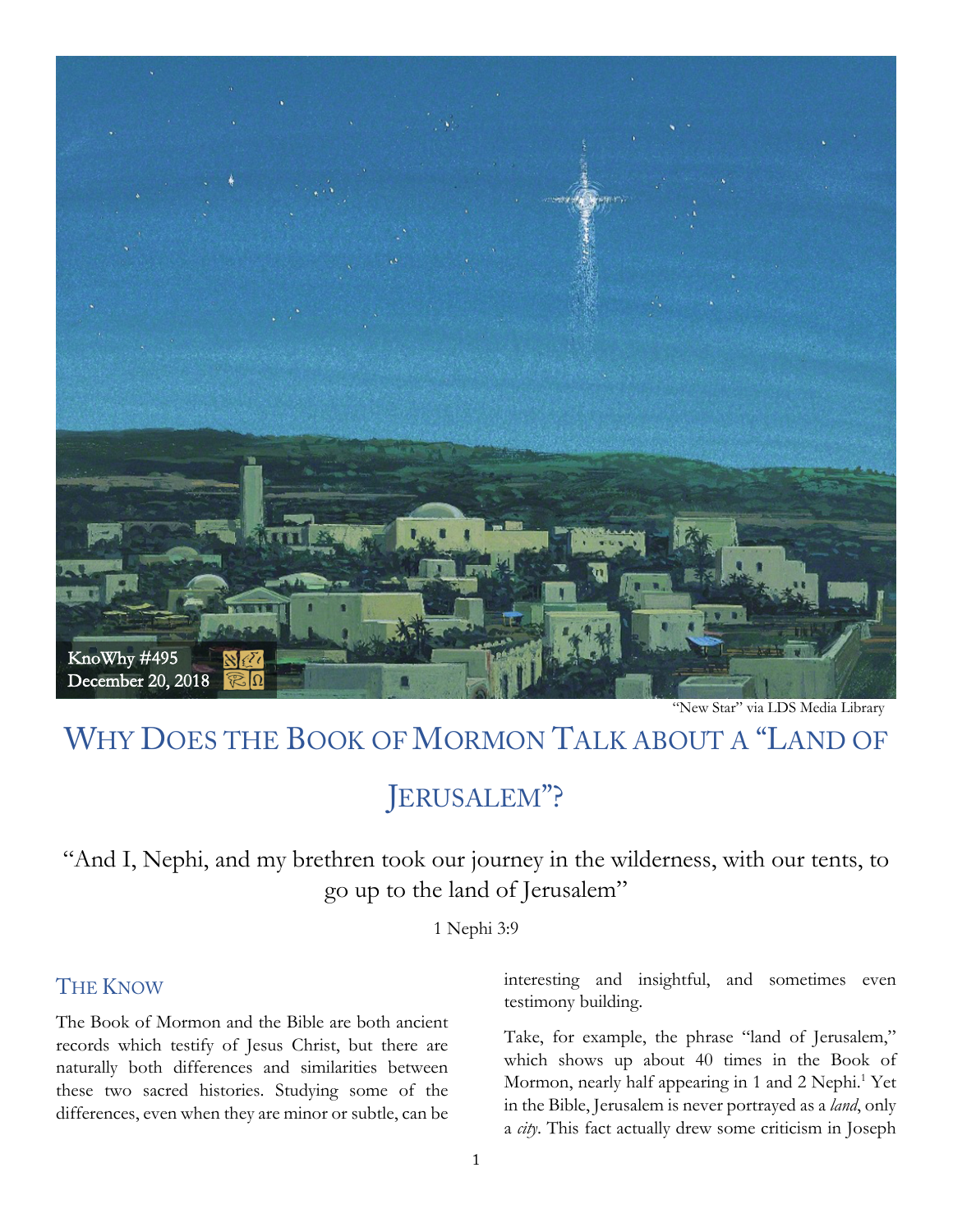

"New Star" via LDS Media Library

# WHY DOES THE BOOK OF MORMON TALK ABOUT A "LAND OF

## JERUSALEM"?

"And I, Nephi, and my brethren took our journey in the wilderness, with our tents, to go up to the land of Jerusalem"

1 Nephi 3:9

#### **THE KNOW**

The Book of Mormon and the Bible are both ancient records which testify of Jesus Christ, but there are naturally both differences and similarities between these two sacred histories. Studying some of the differences, even when they are minor or subtle, can be interesting and insightful, and sometimes even testimony building.

Take, for example, the phrase "land of Jerusalem," which shows up about 40 times in the Book of Mormon, nearly half appearing in 1 and 2 Nephi. <sup>1</sup> Yet in the Bible, Jerusalem is never portrayed as a *land*, only a *city*. This fact actually drew some criticism in Joseph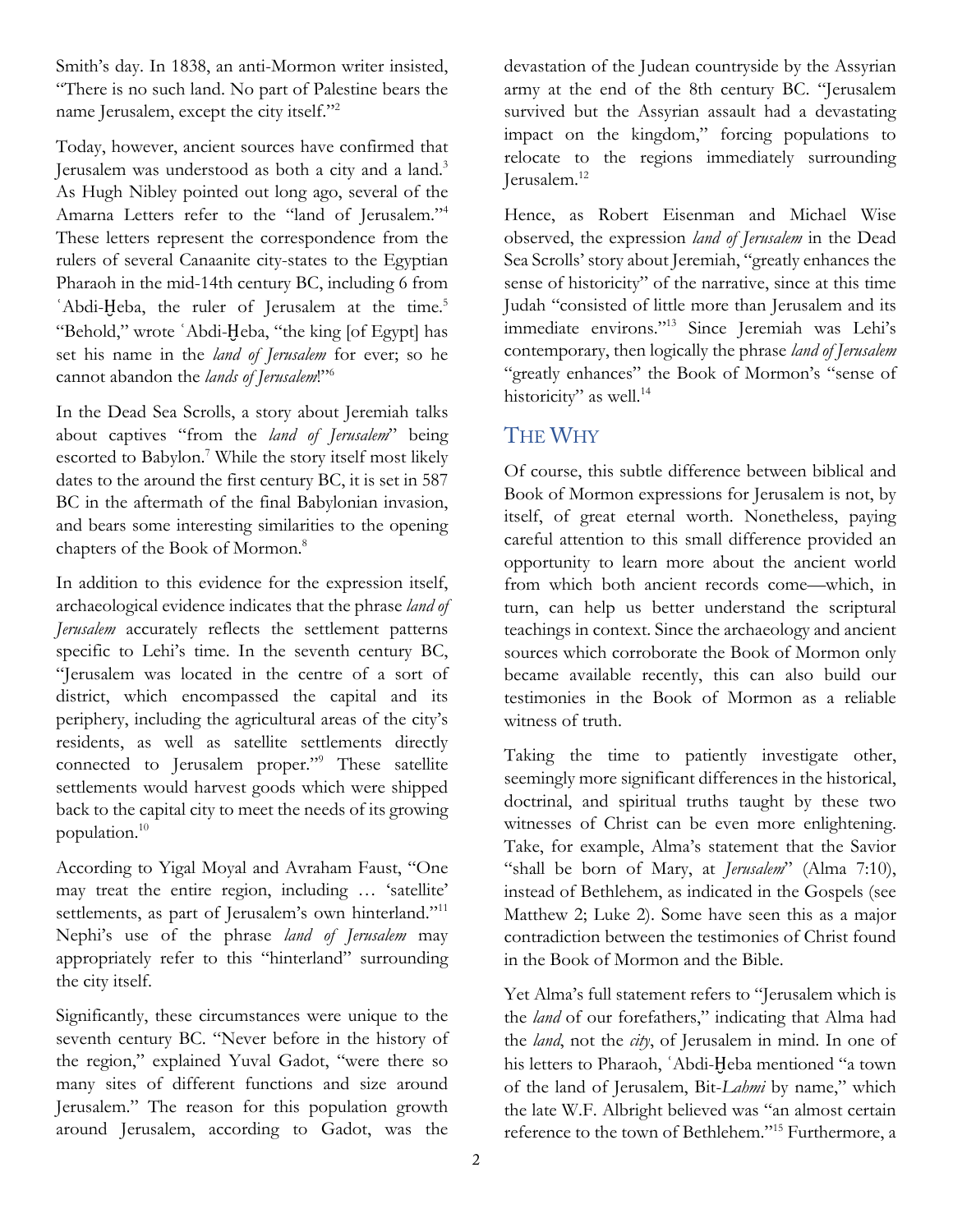Smith's day. In 1838, an anti-Mormon writer insisted, "There is no such land. No part of Palestine bears the name Jerusalem, except the city itself."<sup>2</sup>

Today, however, ancient sources have confirmed that Jerusalem was understood as both a city and a land.3 As Hugh Nibley pointed out long ago, several of the Amarna Letters refer to the "land of Jerusalem."4 These letters represent the correspondence from the rulers of several Canaanite city-states to the Egyptian Pharaoh in the mid-14th century BC, including 6 from ʿAbdi-Ḫeba, the ruler of Jerusalem at the time. 5 "Behold," wrote ʿAbdi-Ḫeba, "the king [of Egypt] has set his name in the *land of Jerusalem* for ever; so he cannot abandon the *lands of Jerusalem*!"6

In the Dead Sea Scrolls, a story about Jeremiah talks about captives "from the *land of Jerusalem*" being escorted to Babylon.<sup>7</sup> While the story itself most likely dates to the around the first century BC, it is set in 587 BC in the aftermath of the final Babylonian invasion, and bears some interesting similarities to the opening chapters of the Book of Mormon.8

In addition to this evidence for the expression itself, archaeological evidence indicates that the phrase *land of Jerusalem* accurately reflects the settlement patterns specific to Lehi's time. In the seventh century BC, "Jerusalem was located in the centre of a sort of district, which encompassed the capital and its periphery, including the agricultural areas of the city's residents, as well as satellite settlements directly connected to Jerusalem proper."9 These satellite settlements would harvest goods which were shipped back to the capital city to meet the needs of its growing population.10

According to Yigal Moyal and Avraham Faust, "One may treat the entire region, including … 'satellite' settlements, as part of Jerusalem's own hinterland."<sup>11</sup> Nephi's use of the phrase *land of Jerusalem* may appropriately refer to this "hinterland" surrounding the city itself.

Significantly, these circumstances were unique to the seventh century BC. "Never before in the history of the region," explained Yuval Gadot, "were there so many sites of different functions and size around Jerusalem." The reason for this population growth around Jerusalem, according to Gadot, was the

devastation of the Judean countryside by the Assyrian army at the end of the 8th century BC. "Jerusalem survived but the Assyrian assault had a devastating impact on the kingdom," forcing populations to relocate to the regions immediately surrounding Jerusalem.12

Hence, as Robert Eisenman and Michael Wise observed, the expression *land of Jerusalem* in the Dead Sea Scrolls' story about Jeremiah, "greatly enhances the sense of historicity" of the narrative, since at this time Judah "consisted of little more than Jerusalem and its immediate environs."13 Since Jeremiah was Lehi's contemporary, then logically the phrase *land of Jerusalem* "greatly enhances" the Book of Mormon's "sense of historicity" as well.<sup>14</sup>

#### THE WHY

Of course, this subtle difference between biblical and Book of Mormon expressions for Jerusalem is not, by itself, of great eternal worth. Nonetheless, paying careful attention to this small difference provided an opportunity to learn more about the ancient world from which both ancient records come—which, in turn, can help us better understand the scriptural teachings in context. Since the archaeology and ancient sources which corroborate the Book of Mormon only became available recently, this can also build our testimonies in the Book of Mormon as a reliable witness of truth.

Taking the time to patiently investigate other, seemingly more significant differences in the historical, doctrinal, and spiritual truths taught by these two witnesses of Christ can be even more enlightening. Take, for example, Alma's statement that the Savior "shall be born of Mary, at *Jerusalem*" (Alma 7:10), instead of Bethlehem, as indicated in the Gospels (see Matthew 2; Luke 2). Some have seen this as a major contradiction between the testimonies of Christ found in the Book of Mormon and the Bible.

Yet Alma's full statement refers to "Jerusalem which is the *land* of our forefathers," indicating that Alma had the *land*, not the *city*, of Jerusalem in mind. In one of his letters to Pharaoh, ʿAbdi-Ḫeba mentioned "a town of the land of Jerusalem, Bit-*Lahmi* by name," which the late W.F. Albright believed was "an almost certain reference to the town of Bethlehem."15 Furthermore, a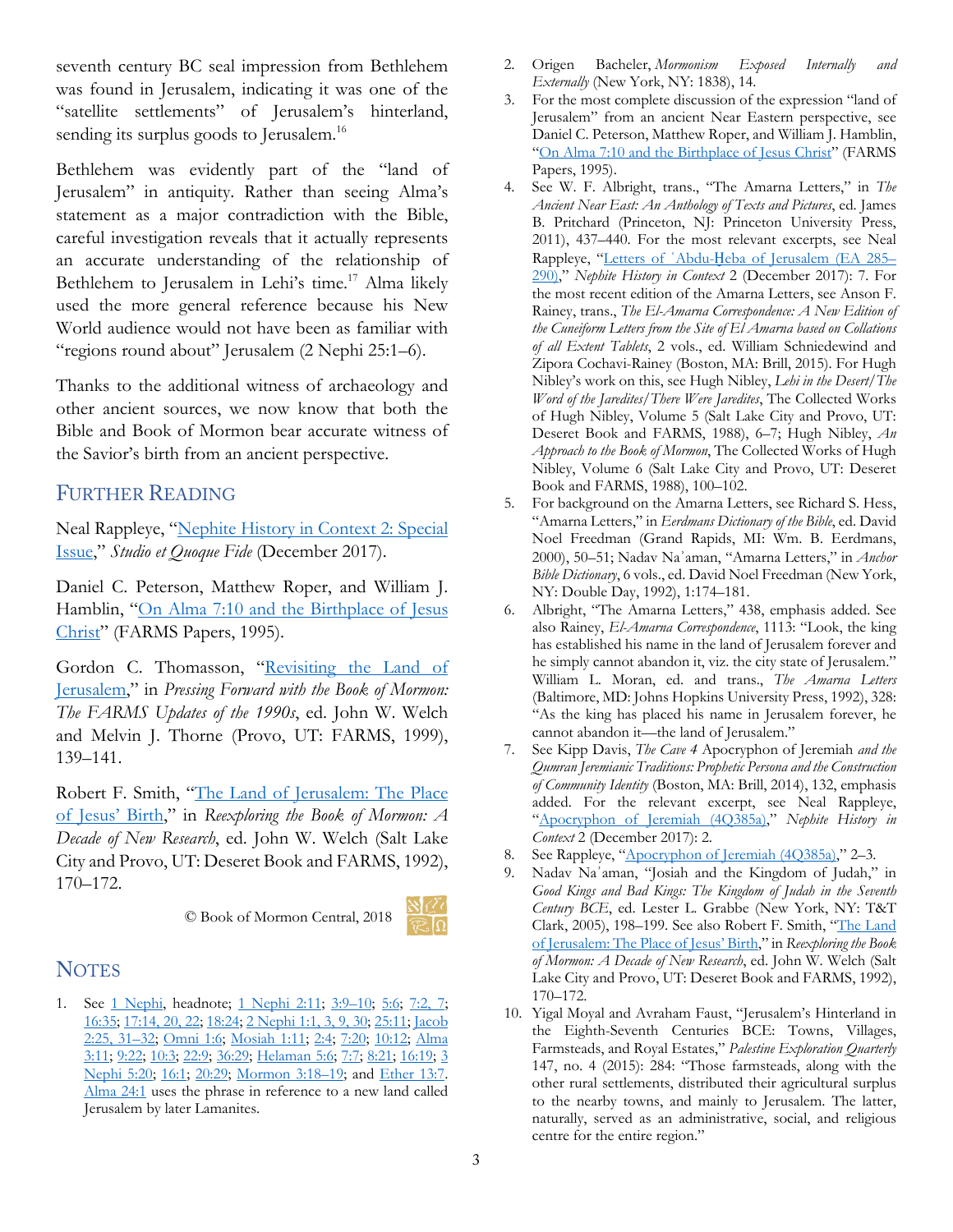seventh century BC seal impression from Bethlehem was found in Jerusalem, indicating it was one of the "satellite settlements" of Jerusalem's hinterland, sending its surplus goods to Jerusalem.<sup>16</sup>

Bethlehem was evidently part of the "land of Jerusalem" in antiquity. Rather than seeing Alma's statement as a major contradiction with the Bible, careful investigation reveals that it actually represents an accurate understanding of the relationship of Bethlehem to Jerusalem in Lehi's time.<sup>17</sup> Alma likely used the more general reference because his New World audience would not have been as familiar with "regions round about" Jerusalem (2 Nephi 25:1–6).

Thanks to the additional witness of archaeology and other ancient sources, we now know that both the Bible and Book of Mormon bear accurate witness of the Savior's birth from an ancient perspective.

#### FURTHER READING

Neal Rappleye, ["Nephite History in Context 2: Special](https://archive.bookofmormoncentral.org/content/nephite-history-context-2-special-issue)  [Issue,](https://archive.bookofmormoncentral.org/content/nephite-history-context-2-special-issue)" *Studio et Quoque Fide* (December 2017).

Daniel C. Peterson, Matthew Roper, and William J. Hamblin, "On Alma 7:10 and the Birthplace of Jesus [Christ"](https://publications.mi.byu.edu/fullscreen/?pub=961) (FARMS Papers, 1995).

Gordon C. Thomasson, "Revisiting the Land of [Jerusalem,](https://archive.bookofmormoncentral.org/node/265)" in *Pressing Forward with the Book of Mormon: The FARMS Updates of the 1990s*, ed. John W. Welch and Melvin J. Thorne (Provo, UT: FARMS, 1999), 139–141.

Robert F. Smith, ["The Land of Jerusalem: The Place](https://archive.bookofmormoncentral.org/node/195)  [of Jesus' Birth,](https://archive.bookofmormoncentral.org/node/195)" in *Reexploring the Book of Mormon: A Decade of New Research*, ed. John W. Welch (Salt Lake City and Provo, UT: Deseret Book and FARMS, 1992), 170–172.

© Book of Mormon Central, 2018



### **NOTES**

1. See [1 Nephi,](https://www.lds.org/scriptures/bofm/1-ne?lang=eng) headnote; [1 Nephi 2:11;](https://www.lds.org/scriptures/bofm/1-ne/2.11?lang=eng#p10) [3:9–10;](https://www.lds.org/scriptures/bofm/1-ne/3.9-10?lang=eng#p8) [5:6;](https://www.lds.org/scriptures/bofm/1-ne/5.6?lang=eng#p5) [7:2, 7;](https://www.lds.org/scriptures/bofm/1-ne/7.2,7?lang=eng#p1) [16:35;](https://www.lds.org/scriptures/bofm/1-ne/16.35?lang=eng#p34) [17:14, 20, 22;](https://www.lds.org/scriptures/bofm/1-ne/17.14,20,22?lang=eng#p13) [18:24;](https://www.lds.org/scriptures/bofm/1-ne/18.24?lang=eng#p23) [2 Nephi 1:1, 3, 9, 30;](https://www.lds.org/scriptures/bofm/2-ne/1.1,3,9,30?lang=eng#primary) [25:11;](https://www.lds.org/scriptures/bofm/2-ne/25.11?lang=eng#p10) [Jacob](https://www.lds.org/scriptures/bofm/jacob/2.25,31-32?lang=eng#p24)  [2:25, 31–32;](https://www.lds.org/scriptures/bofm/jacob/2.25,31-32?lang=eng#p24) [Omni 1:6;](https://www.lds.org/scriptures/bofm/omni/1.6?lang=eng#p5) [Mosiah 1:11;](https://www.lds.org/scriptures/bofm/mosiah/1.11?lang=eng#p10) [2:4;](https://www.lds.org/scriptures/bofm/mosiah/2.4?lang=eng#p3) [7:20;](https://www.lds.org/scriptures/bofm/mosiah/7.20?lang=eng#p19) [10:12;](https://www.lds.org/scriptures/bofm/mosiah/10.12?lang=eng#p11) [Alma](https://www.lds.org/scriptures/bofm/alma/3.11?lang=eng#p10)  [3:11;](https://www.lds.org/scriptures/bofm/alma/3.11?lang=eng#p10) [9:22;](https://www.lds.org/scriptures/bofm/alma/9.22?lang=eng#p21) [10:3;](https://www.lds.org/scriptures/bofm/alma/10.3?lang=eng#p2) [22:9;](https://www.lds.org/scriptures/bofm/alma/22.9?lang=eng#p8) [36:29;](https://www.lds.org/scriptures/bofm/alma/36.29?lang=eng#p28) [Helaman 5:6;](https://www.lds.org/scriptures/bofm/hel/5.6?lang=eng#p5) [7:7;](https://www.lds.org/scriptures/bofm/hel/7.7?lang=eng#p6) [8:21;](https://www.lds.org/scriptures/bofm/hel/8.21?lang=eng#p20) [16:19;](https://www.lds.org/scriptures/bofm/hel/16.19?lang=eng#p18) [3](https://www.lds.org/scriptures/bofm/3-ne/5.20?lang=eng#p19)  [Nephi 5:20;](https://www.lds.org/scriptures/bofm/3-ne/5.20?lang=eng#p19) [16:1;](https://www.lds.org/scriptures/bofm/3-ne/16.1?lang=eng#primary) [20:29;](https://www.lds.org/scriptures/bofm/3-ne/20.29?lang=eng#p28) [Mormon 3:18–19;](https://www.lds.org/scriptures/bofm/morm/3.18-19?lang=eng#p17) and [Ether 13:7.](https://www.lds.org/scriptures/bofm/ether/13.7?lang=eng#p6)  [Alma 24:1](https://www.lds.org/scriptures/bofm/alma/24.1?lang=eng#primary) uses the phrase in reference to a new land called Jerusalem by later Lamanites.

- 2. Origen Bacheler, *Mormonism Exposed Internally and Externally* (New York, NY: 1838), 14.
- 3. For the most complete discussion of the expression "land of Jerusalem" from an ancient Near Eastern perspective, see Daniel C. Peterson, Matthew Roper, and William J. Hamblin, ["On Alma 7:10 and the Birthplace of Jesus Christ"](https://publications.mi.byu.edu/fullscreen/?pub=961) (FARMS Papers, 1995).
- 4. See W. F. Albright, trans., "The Amarna Letters," in *The Ancient Near East: An Anthology of Texts and Pictures*, ed. James B. Pritchard (Princeton, NJ: Princeton University Press, 2011), 437–440. For the most relevant excerpts, see Neal Rappleye, "Letters of ʿAbdu-Ḫ[eba of Jerusalem \(EA 285–](https://archive.bookofmormoncentral.org/content/nephite-history-context-2-special-issue) [290\),](https://archive.bookofmormoncentral.org/content/nephite-history-context-2-special-issue)" *Nephite History in Context* 2 (December 2017): 7. For the most recent edition of the Amarna Letters, see Anson F. Rainey, trans., *The El-Amarna Correspondence: A New Edition of the Cuneiform Letters from the Site of El Amarna based on Collations of all Extent Tablets*, 2 vols., ed. William Schniedewind and Zipora Cochavi-Rainey (Boston, MA: Brill, 2015). For Hugh Nibley's work on this, see Hugh Nibley, *Lehi in the Desert/The Word of the Jaredites/There Were Jaredites*, The Collected Works of Hugh Nibley, Volume 5 (Salt Lake City and Provo, UT: Deseret Book and FARMS, 1988), 6–7; Hugh Nibley, *An Approach to the Book of Mormon*, The Collected Works of Hugh Nibley, Volume 6 (Salt Lake City and Provo, UT: Deseret Book and FARMS, 1988), 100–102.
- 5. For background on the Amarna Letters, see Richard S. Hess, "Amarna Letters," in *Eerdmans Dictionary of the Bible*, ed. David Noel Freedman (Grand Rapids, MI: Wm. B. Eerdmans, 2000), 50–51; Nadav Naʾaman, "Amarna Letters," in *Anchor Bible Dictionary*, 6 vols., ed. David Noel Freedman (New York, NY: Double Day, 1992), 1:174–181.
- 6. Albright, "The Amarna Letters," 438, emphasis added. See also Rainey, *El-Amarna Correspondence*, 1113: "Look, the king has established his name in the land of Jerusalem forever and he simply cannot abandon it, viz. the city state of Jerusalem." William L. Moran, ed. and trans., *The Amarna Letters* (Baltimore, MD: Johns Hopkins University Press, 1992), 328: "As the king has placed his name in Jerusalem forever, he cannot abandon it—the land of Jerusalem."
- 7. See Kipp Davis, *The Cave 4* Apocryphon of Jeremiah *and the Qumran Jeremianic Traditions: Prophetic Persona and the Construction of Community Identity* (Boston, MA: Brill, 2014), 132, emphasis added. For the relevant excerpt, see Neal Rappleye, ["Apocryphon of Jeremiah \(4Q385a\),"](https://archive.bookofmormoncentral.org/content/nephite-history-context-2-special-issue) *Nephite History in Context* 2 (December 2017): 2.
- 8. See Rappleye, ["Apocryphon of Jeremiah \(4Q385a\),"](https://archive.bookofmormoncentral.org/content/nephite-history-context-2-special-issue) 2-3.
- 9. Nadav Naʾaman, "Josiah and the Kingdom of Judah," in *Good Kings and Bad Kings: The Kingdom of Judah in the Seventh Century BCE*, ed. Lester L. Grabbe (New York, NY: T&T Clark, 2005), 198–199. See also Robert F. Smith, ["The Land](https://archive.bookofmormoncentral.org/node/195)  [of Jerusalem: The Place of Jesus' Birth,](https://archive.bookofmormoncentral.org/node/195)" in *Reexploring the Book of Mormon: A Decade of New Research*, ed. John W. Welch (Salt Lake City and Provo, UT: Deseret Book and FARMS, 1992), 170–172.
- 10. Yigal Moyal and Avraham Faust, "Jerusalem's Hinterland in the Eighth-Seventh Centuries BCE: Towns, Villages, Farmsteads, and Royal Estates," *Palestine Exploration Quarterly*  147, no. 4 (2015): 284: "Those farmsteads, along with the other rural settlements, distributed their agricultural surplus to the nearby towns, and mainly to Jerusalem. The latter, naturally, served as an administrative, social, and religious centre for the entire region."